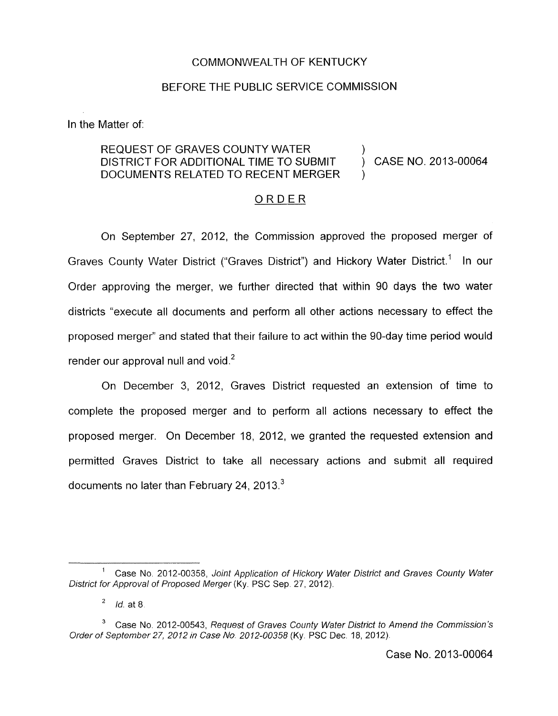## COMMONWEALTH OF KENTUCKY

## BEFORE THE PUBLIC SERVICE COMMISSION

In the Matter of:

## REQUEST OF GRAVES COUNTY WATER DISTRICT FOR ADDITIONAL TIME TO SUBMIT DOCUMENTS RELATED TO RECENT MERGER

CASE NO. 2013-00064

)

)

## ORDER

On September 27, 2012, the Commission approved the proposed merger of Graves County Water District ("Graves District") and Hickory Water District.' In our Order approving the merger, we further directed that within 90 days the two water districts "execute all documents and perform all other actions necessary to effect the proposed merger" and stated that their failure to act within the 90-day time period would render our approval null and void.<sup>2</sup>

On December 3, 2012, Graves District requested an extension of time to complete the proposed merger and to perform all actions necessary to effect the proposed merger. On December 18, 2012, we granted the requested extension and permitted Graves District to take all necessary actions and submit all required documents no later than February 24, 2013.<sup>3</sup>

<sup>&#</sup>x27; Case No. 2012-00358, *Joint Application of Hickory Water District and Graves County Water District for Approval of Proposed Merger* (Ky. PSC Sep 27, 2012).

*Id.* at 8 2

Case No. 2012-00543, *Request of Graves County Water District to Amend the Commission's*  **3**  *Order of September 27, 2012 in Case No 2012-00358* **(Ky.** PSC Dec. 18, 2012).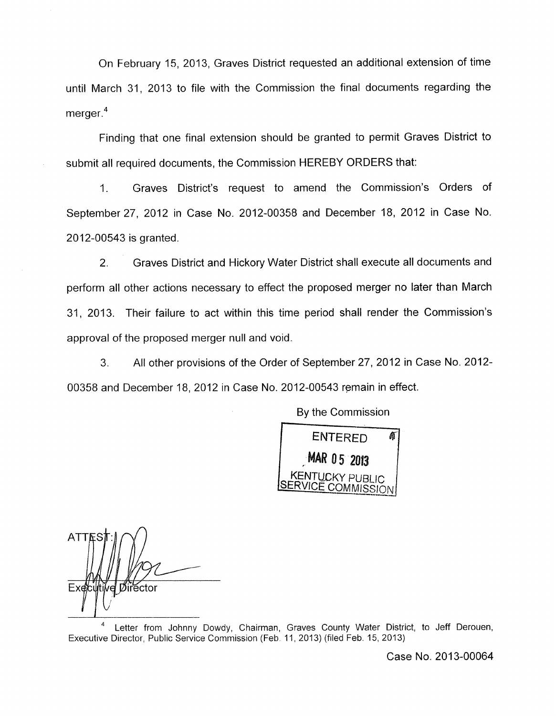On February 15, 2013, Graves District requested an additional extension of time until March 31, 2013 to file with the Commission the final documents regarding the merger.<sup>4</sup>

Finding that one final extension should be granted to permit Graves District to submit all required documents, the Commission HEREBY ORDERS that:

1. Graves District's request to amend the Commission's Orders of September27, 2012 in Case No. 2012-00358 and December 18, 2012 in Case No. 2012-00543 is granted.

2. Graves District and Hickory Water District shall execute all documents and perform all other actions necessary to effect the proposed merger no later than March 31 , 2013. Their failure to act within this time period shall render the Commission's approval of the proposed merger null and void.

3. All other provisions of the Order of September 27, 2012 in Case No. 2012- 00358 and December 18, 2012 in Case No. 2012-00543 remain in effect.

> **ENTERED** Â **MAR 05 2013** KENTUCKY PUBL

SERVICE COM M IS *S* I *0* <sup>N</sup>

By the Commission

**ATTE** Exet ector *I* 

Letter from Johnny Dowdy, Chairman, Graves County Water District, to Jeff Derouen, **4**  Executive Director, Public Service Commission (Feb 11, 2013) (filed Feb. 15, 2013)

Case No. 2013-00064